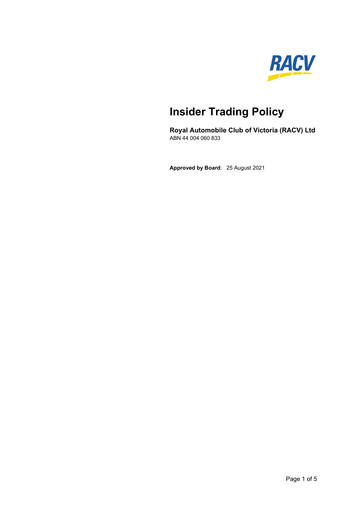

# **Insider Trading Policy**

**Royal Automobile Club of Victoria (RACV) Ltd**  ABN 44 004 060 833

**Approved by Board**: 25 August 2021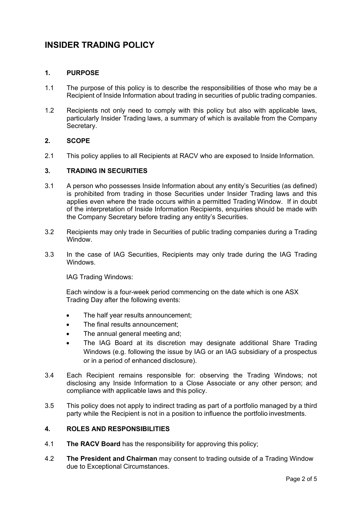# **INSIDER TRADING POLICY**

# **1. PURPOSE**

- 1.1 The purpose of this policy is to describe the responsibilities of those who may be a Recipient of Inside Information about trading in securities of public trading companies.
- 1.2 Recipients not only need to comply with this policy but also with applicable laws, particularly Insider Trading laws, a summary of which is available from the Company Secretary.

#### **2. SCOPE**

2.1 This policy applies to all Recipients at RACV who are exposed to Inside Information.

#### **3. TRADING IN SECURITIES**

- 3.1 A person who possesses Inside Information about any entity's Securities (as defined) is prohibited from trading in those Securities under Insider Trading laws and this applies even where the trade occurs within a permitted Trading Window. If in doubt of the interpretation of Inside Information Recipients, enquiries should be made with the Company Secretary before trading any entity's Securities.
- 3.2 Recipients may only trade in Securities of public trading companies during a Trading Window.
- 3.3 In the case of IAG Securities, Recipients may only trade during the IAG Trading **Windows**

IAG Trading Windows:

Each window is a four-week period commencing on the date which is one ASX Trading Day after the following events:

- The half year results announcement;
- The final results announcement:
- The annual general meeting and;
- The IAG Board at its discretion may designate additional Share Trading Windows (e.g. following the issue by IAG or an IAG subsidiary of a prospectus or in a period of enhanced disclosure).
- 3.4 Each Recipient remains responsible for: observing the Trading Windows; not disclosing any Inside Information to a Close Associate or any other person; and compliance with applicable laws and this policy.
- 3.5 This policy does not apply to indirect trading as part of a portfolio managed by a third party while the Recipient is not in a position to influence the portfolio investments.

#### **4. ROLES AND RESPONSIBILITIES**

- 4.1 **The RACV Board** has the responsibility for approving this policy;
- 4.2 **The President and Chairman** may consent to trading outside of a Trading Window due to Exceptional Circumstances.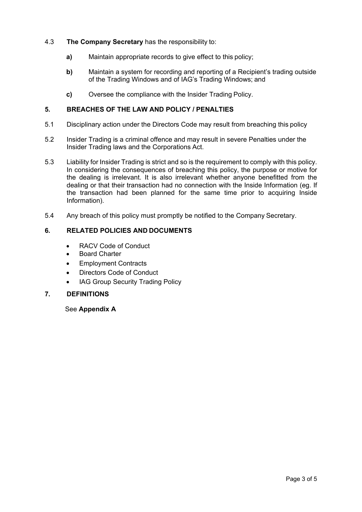- 4.3 **The Company Secretary** has the responsibility to:
	- **a)** Maintain appropriate records to give effect to this policy;
	- **b)** Maintain a system for recording and reporting of a Recipient's trading outside of the Trading Windows and of IAG's Trading Windows; and
	- **c)** Oversee the compliance with the Insider Trading Policy.

# **5. BREACHES OF THE LAW AND POLICY / PENALTIES**

- 5.1 Disciplinary action under the Directors Code may result from breaching this policy
- 5.2 Insider Trading is a criminal offence and may result in severe Penalties under the Insider Trading laws and the Corporations Act.
- 5.3 Liability for Insider Trading is strict and so is the requirement to comply with this policy. In considering the consequences of breaching this policy, the purpose or motive for the dealing is irrelevant. It is also irrelevant whether anyone benefitted from the dealing or that their transaction had no connection with the Inside Information (eg. If the transaction had been planned for the same time prior to acquiring Inside Information).
- 5.4 Any breach of this policy must promptly be notified to the Company Secretary.

# **6. RELATED POLICIES AND DOCUMENTS**

- RACV Code of Conduct
- Board Charter
- Employment Contracts
- Directors Code of Conduct
- IAG Group Security Trading Policy

#### **7. DEFINITIONS**

#### See **Appendix A**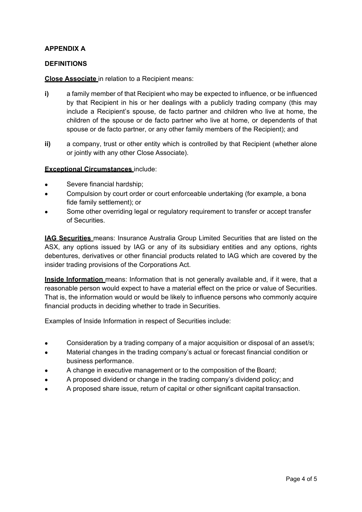# **APPENDIX A**

#### **DEFINITIONS**

**Close Associate** in relation to a Recipient means:

- **i)** a family member of that Recipient who may be expected to influence, or be influenced by that Recipient in his or her dealings with a publicly trading company (this may include a Recipient's spouse, de facto partner and children who live at home, the children of the spouse or de facto partner who live at home, or dependents of that spouse or de facto partner, or any other family members of the Recipient); and
- **ii)** a company, trust or other entity which is controlled by that Recipient (whether alone or jointly with any other Close Associate).

#### **Exceptional Circumstances** include:

- Severe financial hardship;
- Compulsion by court order or court enforceable undertaking (for example, a bona fide family settlement); or
- Some other overriding legal or regulatory requirement to transfer or accept transfer of Securities.

**IAG Securities** means: Insurance Australia Group Limited Securities that are listed on the ASX, any options issued by IAG or any of its subsidiary entities and any options, rights debentures, derivatives or other financial products related to IAG which are covered by the insider trading provisions of the Corporations Act.

**Inside Information** means: Information that is not generally available and, if it were, that a reasonable person would expect to have a material effect on the price or value of Securities. That is, the information would or would be likely to influence persons who commonly acquire financial products in deciding whether to trade in Securities.

Examples of Inside Information in respect of Securities include:

- Consideration by a trading company of a major acquisition or disposal of an asset/s;
- Material changes in the trading company's actual or forecast financial condition or business performance.
- A change in executive management or to the composition of the Board;
- A proposed dividend or change in the trading company's dividend policy; and
- A proposed share issue, return of capital or other significant capital transaction.